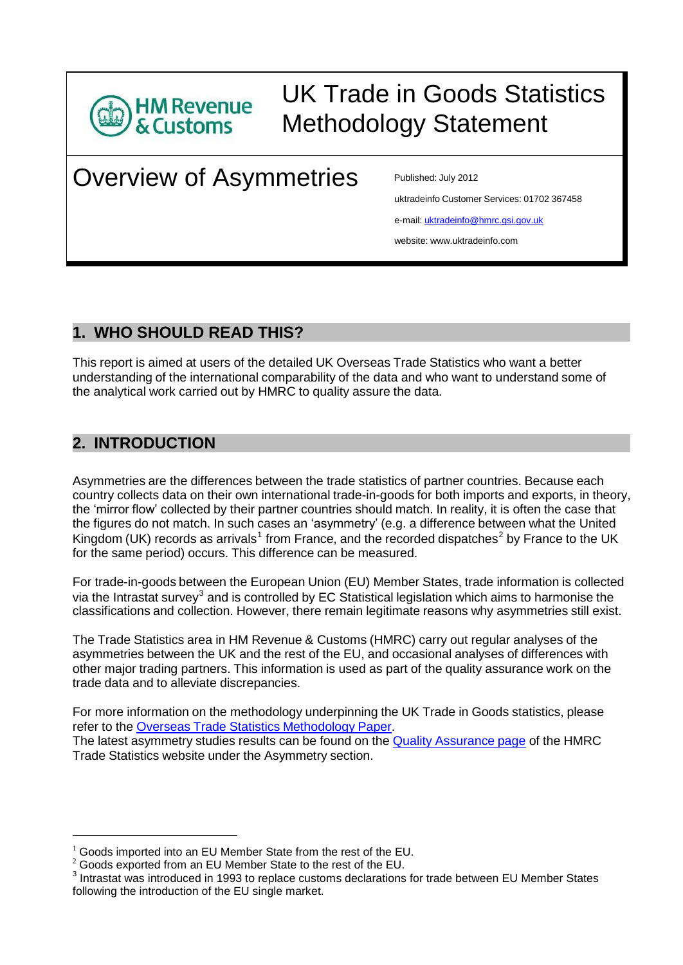

# UK Trade in Goods Statistics Methodology Statement

# Overview of Asymmetries Published: July 2012

uktradeinfo Customer Services: 01702 367458

e-mail: [uktradeinfo@hmrc.gsi.gov.uk](mailto:uktradeinfo@hmrc.gsi.gov.uk)

website: [www.uktradeinfo.com](http://www.uktradeinfo.com/)

## **1. WHO SHOULD READ THIS?**

This report is aimed at users of the detailed UK Overseas Trade Statistics who want a better understanding of the international comparability of the data and who want to understand some of the analytical work carried out by HMRC to quality assure the data.

## **2. INTRODUCTION**

Asymmetries are the differences between the trade statistics of partner countries. Because each country collects data on their own international trade-in-goods for both imports and exports, in theory, the 'mirror flow' collected by their partner countries should match. In reality, it is often the case that the figures do not match. In such cases an 'asymmetry' (e.g. a difference between what the United Kingdom (UK) records as arrivals<sup>1</sup> from France, and the recorded dispatches<sup>2</sup> by France to the UK for the same period) occurs. This difference can be measured.

For trade-in-goods between the European Union (EU) Member States, trade information is collected via the Intrastat survey<sup>3</sup> and is controlled by EC Statistical legislation which aims to harmonise the classifications and collection. However, there remain legitimate reasons why asymmetries still exist.

The Trade Statistics area in HM Revenue & Customs (HMRC) carry out regular analyses of the asymmetries between the UK and the rest of the EU, and occasional analyses of differences with other major trading partners. This information is used as part of the quality assurance work on the trade data and to alleviate discrepancies.

For more information on the methodology underpinning the UK Trade in Goods statistics, please refer to the Overseas Trade Statistics [Methodology](https://www.uktradeinfo.com/Statistics/OverseasTradeStatistics/AboutOverseastradeStatistics/Documents/OTSMethodology_paper.pdf) Paper.

The latest asymmetry studies results can be found on the Quality [Assurance](https://www.uktradeinfo.com/Statistics/OverseasTradeStatistics/AboutOverseastradeStatistics/Pages/Quality-Assurance.aspx) page of the HMRC Trade Statistics website under the Asymmetry section.

 $1$  Goods imported into an EU Member State from the rest of the EU.

 $2 \overline{2}$  Goods exported from an EU Member State to the rest of the EU.

 $3$  Intrastat was introduced in 1993 to replace customs declarations for trade between EU Member States following the introduction of the EU single market.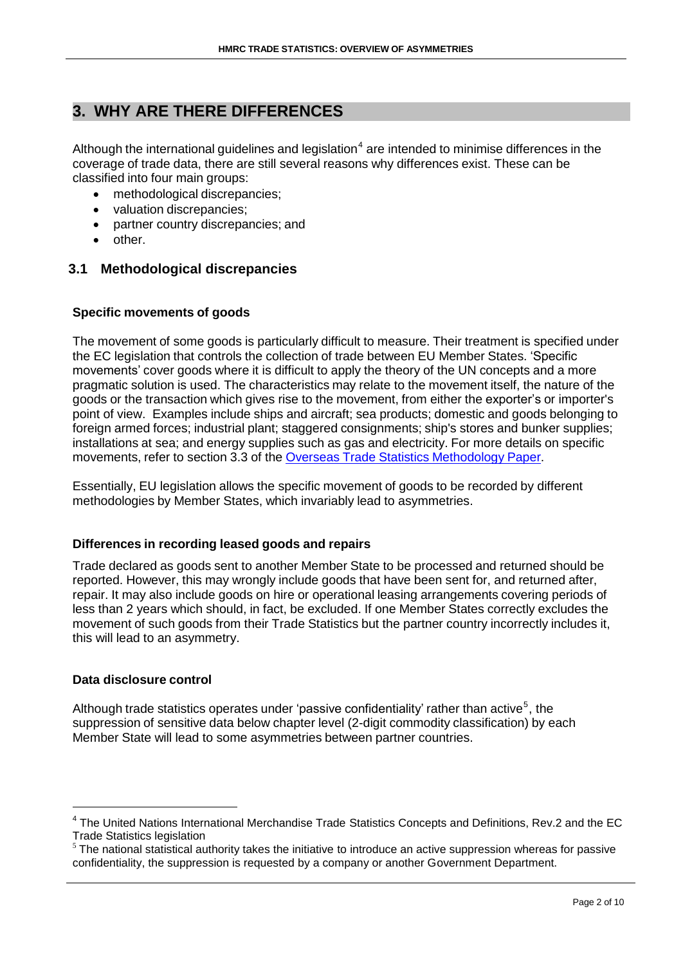## **3. WHY ARE THERE DIFFERENCES**

Although the international guidelines and legislation<sup>4</sup> are intended to minimise differences in the coverage of trade data, there are still several reasons why differences exist. These can be classified into four main groups:

- methodological discrepancies;
- valuation discrepancies;
- partner country discrepancies; and
- other.

#### **3.1 Methodological discrepancies**

#### **Specific movements of goods**

The movement of some goods is particularly difficult to measure. Their treatment is specified under the EC legislation that controls the collection of trade between EU Member States. 'Specific movements' cover goods where it is difficult to apply the theory of the UN concepts and a more pragmatic solution is used. The characteristics may relate to the movement itself, the nature of the goods or the transaction which gives rise to the movement, from either the exporter's or importer's point of view. Examples include ships and aircraft; sea products; domestic and goods belonging to foreign armed forces; industrial plant; staggered consignments; ship's stores and bunker supplies; installations at sea; and energy supplies such as gas and electricity. For more details on specific movements, refer to section 3.3 of the Overseas Trade Statistics [Methodology](https://www.uktradeinfo.com/Statistics/OverseasTradeStatistics/AboutOverseastradeStatistics/Documents/OTSMethodology_paper.pdf) Paper.

Essentially, EU legislation allows the specific movement of goods to be recorded by different methodologies by Member States, which invariably lead to asymmetries.

#### **Differences in recording leased goods and repairs**

Trade declared as goods sent to another Member State to be processed and returned should be reported. However, this may wrongly include goods that have been sent for, and returned after, repair. It may also include goods on hire or operational leasing arrangements covering periods of less than 2 years which should, in fact, be excluded. If one Member States correctly excludes the movement of such goods from their Trade Statistics but the partner country incorrectly includes it, this will lead to an asymmetry.

#### **Data disclosure control**

Although trade statistics operates under 'passive confidentiality' rather than active<sup>5</sup>, the suppression of sensitive data below chapter level (2-digit commodity classification) by each Member State will lead to some asymmetries between partner countries.

<sup>&</sup>lt;sup>4</sup> The United Nations International Merchandise Trade Statistics Concepts and Definitions, Rev.2 and the EC Trade Statistics legislation

 $5$  The national statistical authority takes the initiative to introduce an active suppression whereas for passive confidentiality, the suppression is requested by a company or another Government Department.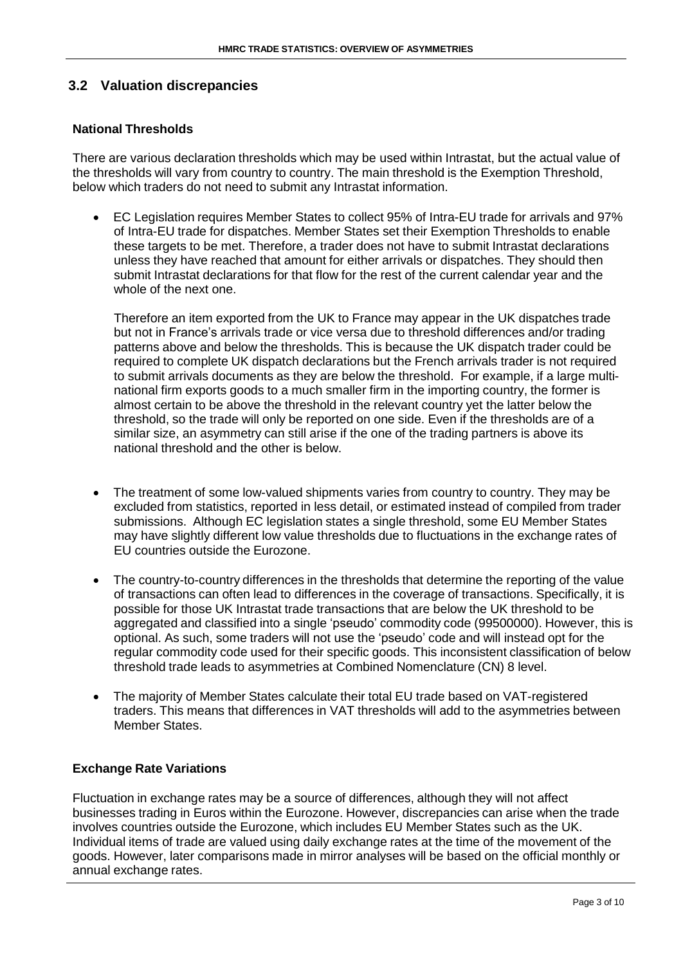#### **3.2 Valuation discrepancies**

#### **National Thresholds**

There are various declaration thresholds which may be used within Intrastat, but the actual value of the thresholds will vary from country to country. The main threshold is the Exemption Threshold, below which traders do not need to submit any Intrastat information.

 EC Legislation requires Member States to collect 95% of Intra-EU trade for arrivals and 97% of Intra-EU trade for dispatches. Member States set their Exemption Thresholds to enable these targets to be met. Therefore, a trader does not have to submit Intrastat declarations unless they have reached that amount for either arrivals or dispatches. They should then submit Intrastat declarations for that flow for the rest of the current calendar year and the whole of the next one.

Therefore an item exported from the UK to France may appear in the UK dispatches trade but not in France's arrivals trade or vice versa due to threshold differences and/or trading patterns above and below the thresholds. This is because the UK dispatch trader could be required to complete UK dispatch declarations but the French arrivals trader is not required to submit arrivals documents as they are below the threshold. For example, if a large multinational firm exports goods to a much smaller firm in the importing country, the former is almost certain to be above the threshold in the relevant country yet the latter below the threshold, so the trade will only be reported on one side. Even if the thresholds are of a similar size, an asymmetry can still arise if the one of the trading partners is above its national threshold and the other is below.

- The treatment of some low-valued shipments varies from country to country. They may be excluded from statistics, reported in less detail, or estimated instead of compiled from trader submissions. Although EC legislation states a single threshold, some EU Member States may have slightly different low value thresholds due to fluctuations in the exchange rates of EU countries outside the Eurozone.
- The country-to-country differences in the thresholds that determine the reporting of the value of transactions can often lead to differences in the coverage of transactions. Specifically, it is possible for those UK Intrastat trade transactions that are below the UK threshold to be aggregated and classified into a single 'pseudo' commodity code (99500000). However, this is optional. As such, some traders will not use the 'pseudo' code and will instead opt for the regular commodity code used for their specific goods. This inconsistent classification of below threshold trade leads to asymmetries at Combined Nomenclature (CN) 8 level.
- The majority of Member States calculate their total EU trade based on VAT-registered traders. This means that differences in VAT thresholds will add to the asymmetries between Member States.

#### **Exchange Rate Variations**

Fluctuation in exchange rates may be a source of differences, although they will not affect businesses trading in Euros within the Eurozone. However, discrepancies can arise when the trade involves countries outside the Eurozone, which includes EU Member States such as the UK. Individual items of trade are valued using daily exchange rates at the time of the movement of the goods. However, later comparisons made in mirror analyses will be based on the official monthly or annual exchange rates.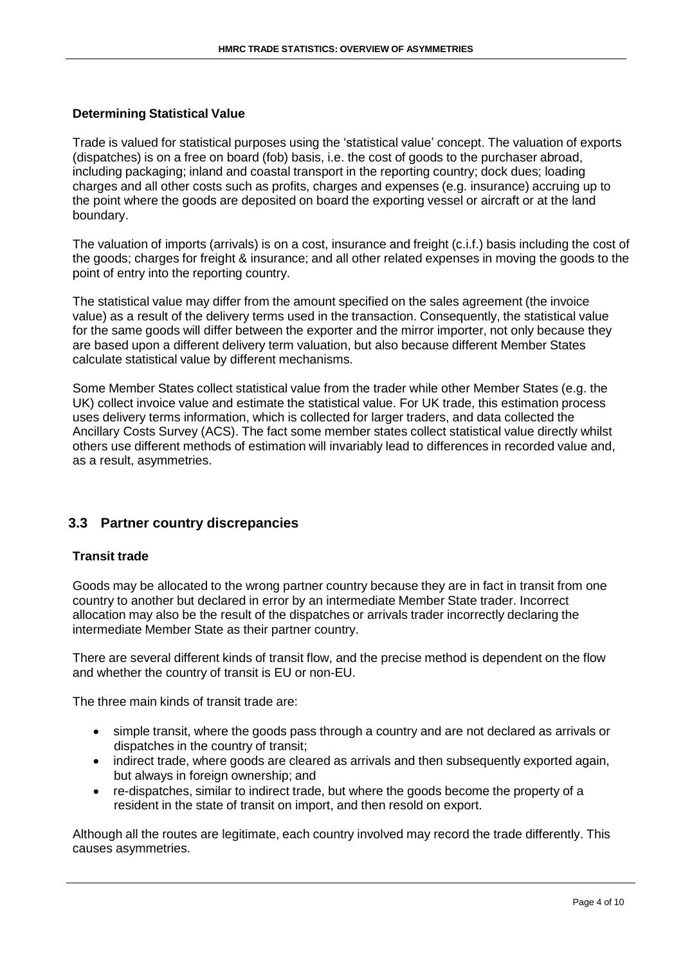#### **Determining Statistical Value**

Trade is valued for statistical purposes using the 'statistical value' concept. The valuation of exports (dispatches) is on a free on board (fob) basis, i.e. the cost of goods to the purchaser abroad, including packaging; inland and coastal transport in the reporting country; dock dues; loading charges and all other costs such as profits, charges and expenses (e.g. insurance) accruing up to the point where the goods are deposited on board the exporting vessel or aircraft or at the land boundary.

The valuation of imports (arrivals) is on a cost, insurance and freight (c.i.f.) basis including the cost of the goods; charges for freight & insurance; and all other related expenses in moving the goods to the point of entry into the reporting country.

The statistical value may differ from the amount specified on the sales agreement (the invoice value) as a result of the delivery terms used in the transaction. Consequently, the statistical value for the same goods will differ between the exporter and the mirror importer, not only because they are based upon a different delivery term valuation, but also because different Member States calculate statistical value by different mechanisms.

Some Member States collect statistical value from the trader while other Member States (e.g. the UK) collect invoice value and estimate the statistical value. For UK trade, this estimation process uses delivery terms information, which is collected for larger traders, and data collected the Ancillary Costs Survey (ACS). The fact some member states collect statistical value directly whilst others use different methods of estimation will invariably lead to differences in recorded value and, as a result, asymmetries.

#### **3.3 Partner country discrepancies**

#### **Transit trade**

Goods may be allocated to the wrong partner country because they are in fact in transit from one country to another but declared in error by an intermediate Member State trader. Incorrect allocation may also be the result of the dispatches or arrivals trader incorrectly declaring the intermediate Member State as their partner country.

There are several different kinds of transit flow, and the precise method is dependent on the flow and whether the country of transit is EU or non-EU.

The three main kinds of transit trade are:

- simple transit, where the goods pass through a country and are not declared as arrivals or dispatches in the country of transit;
- indirect trade, where goods are cleared as arrivals and then subsequently exported again, but always in foreign ownership; and
- re-dispatches, similar to indirect trade, but where the goods become the property of a resident in the state of transit on import, and then resold on export.

Although all the routes are legitimate, each country involved may record the trade differently. This causes asymmetries.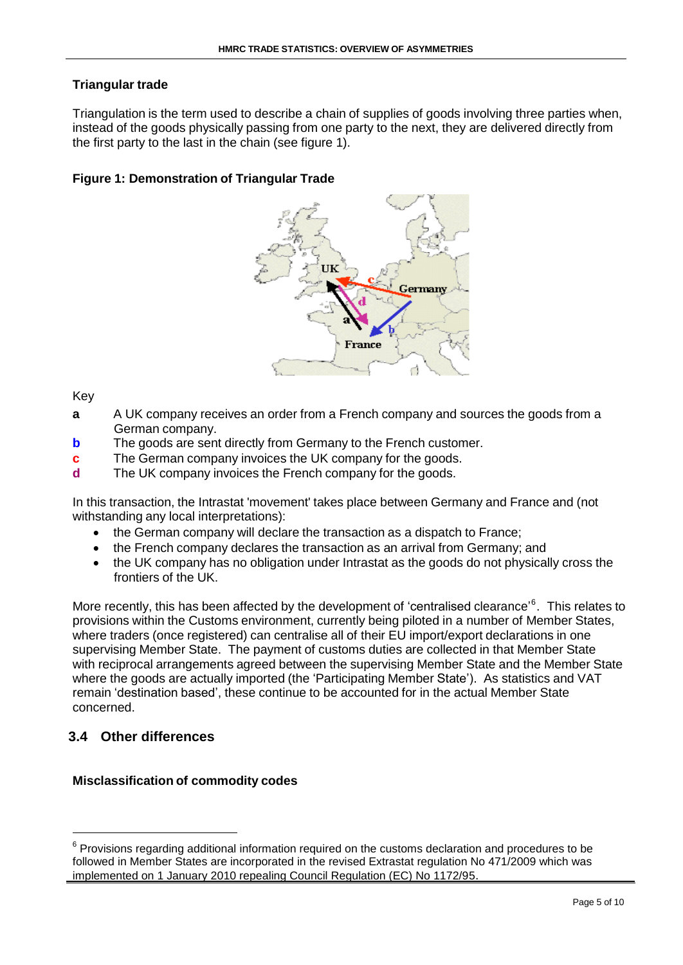#### **Triangular trade**

Triangulation is the term used to describe a chain of supplies of goods involving three parties when, instead of the goods physically passing from one party to the next, they are delivered directly from the first party to the last in the chain (see figure 1).

#### **Figure 1: Demonstration of Triangular Trade**



Key

- **a** A UK company receives an order from a French company and sources the goods from a German company.
- **b** The goods are sent directly from Germany to the French customer.
- **c** The German company invoices the UK company for the goods.
- **d** The UK company invoices the French company for the goods.

In this transaction, the Intrastat 'movement' takes place between Germany and France and (not withstanding any local interpretations):

- the German company will declare the transaction as a dispatch to France;
- the French company declares the transaction as an arrival from Germany; and
- the UK company has no obligation under Intrastat as the goods do not physically cross the frontiers of the UK.

More recently, this has been affected by the development of 'centralised clearance'<sup>6</sup>. This relates to provisions within the Customs environment, currently being piloted in a number of Member States, where traders (once registered) can centralise all of their EU import/export declarations in one supervising Member State. The payment of customs duties are collected in that Member State with reciprocal arrangements agreed between the supervising Member State and the Member State where the goods are actually imported (the 'Participating Member State'). As statistics and VAT remain 'destination based', these continue to be accounted for in the actual Member State concerned.

#### **3.4 Other differences**

#### **Misclassification of commodity codes**

 $6$  Provisions regarding additional information required on the customs declaration and procedures to be followed in Member States are incorporated in the revised Extrastat regulation No 471/2009 which was implemented on 1 January 2010 repealing Council Regulation (EC) No 1172/95.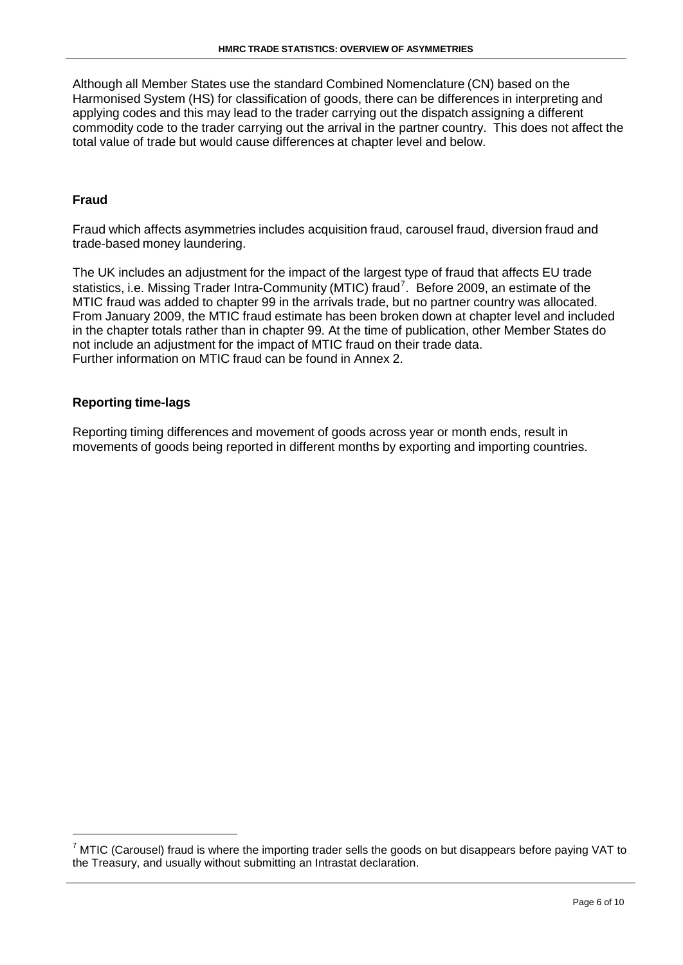Although all Member States use the standard Combined Nomenclature (CN) based on the Harmonised System (HS) for classification of goods, there can be differences in interpreting and applying codes and this may lead to the trader carrying out the dispatch assigning a different commodity code to the trader carrying out the arrival in the partner country. This does not affect the total value of trade but would cause differences at chapter level and below.

#### **Fraud**

Fraud which affects asymmetries includes acquisition fraud, carousel fraud, diversion fraud and trade-based money laundering.

The UK includes an adjustment for the impact of the largest type of fraud that affects EU trade statistics, i.e. Missing Trader Intra-Community (MTIC) fraud<sup>7</sup>. Before 2009, an estimate of the MTIC fraud was added to chapter 99 in the arrivals trade, but no partner country was allocated. From January 2009, the MTIC fraud estimate has been broken down at chapter level and included in the chapter totals rather than in chapter 99. At the time of publication, other Member States do not include an adjustment for the impact of MTIC fraud on their trade data. Further information on MTIC fraud can be found in Annex 2.

#### **Reporting time-lags**

Reporting timing differences and movement of goods across year or month ends, result in movements of goods being reported in different months by exporting and importing countries.

 $^7$  MTIC (Carousel) fraud is where the importing trader sells the goods on but disappears before paying VAT to the Treasury, and usually without submitting an Intrastat declaration.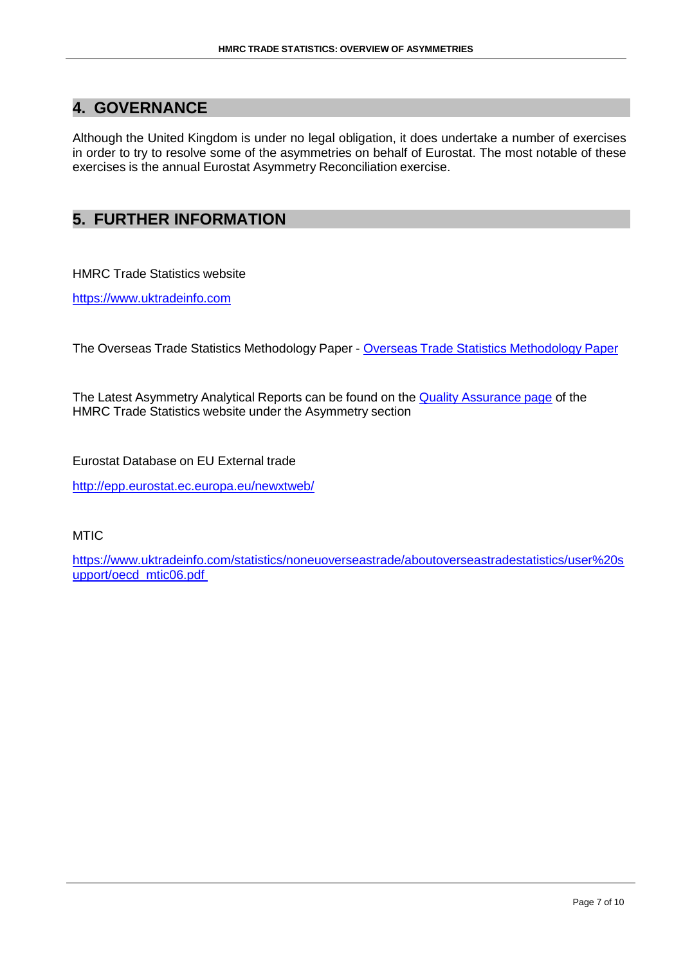### **4. GOVERNANCE**

Although the United Kingdom is under no legal obligation, it does undertake a number of exercises in order to try to resolve some of the asymmetries on behalf of Eurostat. The most notable of these exercises is the annual Eurostat Asymmetry Reconciliation exercise.

### **5. FURTHER INFORMATION**

HMRC Trade Statistics website

[https://www.uktradeinfo.com](https://www.uktradeinfo.com/)

The Overseas Trade Statistics Methodology Paper - Overseas Trade Statistics [Methodology](https://www.uktradeinfo.com/Statistics/OverseasTradeStatistics/AboutOverseastradeStatistics/Documents/OTSMethodology_paper.pdf) Paper

The Latest Asymmetry Analytical Reports can be found on the Quality [Assurance](https://www.uktradeinfo.com/Statistics/OverseasTradeStatistics/AboutOverseastradeStatistics/Pages/Quality-Assurance.aspx) page of the HMRC Trade Statistics website under the Asymmetry section

Eurostat Database on EU External trade

<http://epp.eurostat.ec.europa.eu/newxtweb/>

**MTIC** 

[https://www.uktradeinfo.com/statistics/noneuoverseastrade/aboutoverseastradestatistics/user%20s](https://www.uktradeinfo.com/statistics/noneuoverseastrade/aboutoverseastradestatistics/user%20support/oecd_mtic06.pdf) [upport/oecd\\_mtic06.pdf](https://www.uktradeinfo.com/statistics/noneuoverseastrade/aboutoverseastradestatistics/user%20support/oecd_mtic06.pdf)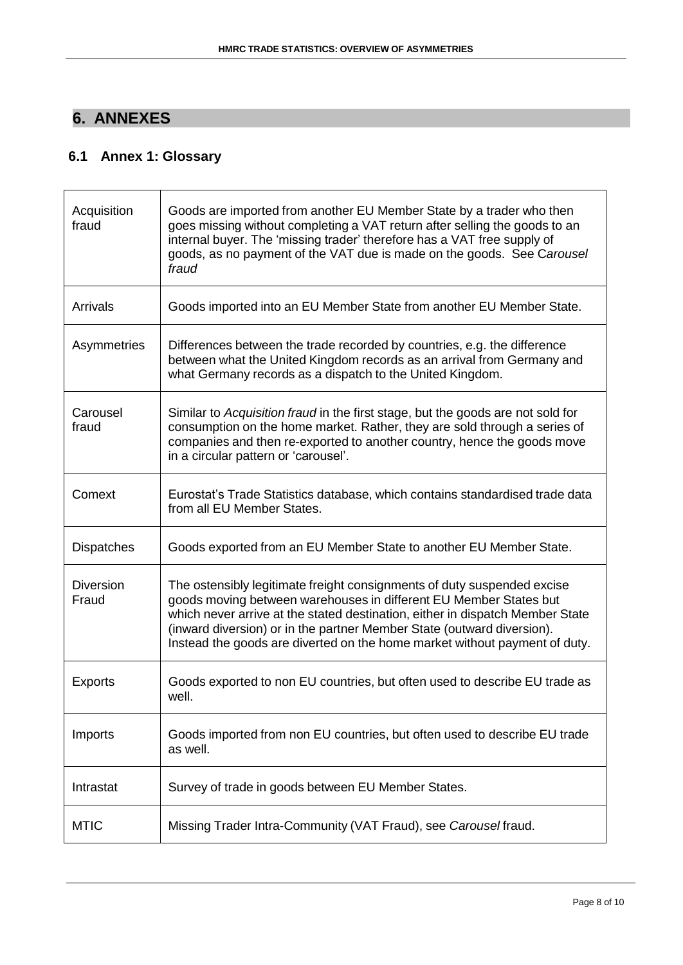# **6. ANNEXES**

## **6.1 Annex 1: Glossary**

| Acquisition<br>fraud      | Goods are imported from another EU Member State by a trader who then<br>goes missing without completing a VAT return after selling the goods to an<br>internal buyer. The 'missing trader' therefore has a VAT free supply of<br>goods, as no payment of the VAT due is made on the goods. See Carousel<br>fraud                                                                      |
|---------------------------|---------------------------------------------------------------------------------------------------------------------------------------------------------------------------------------------------------------------------------------------------------------------------------------------------------------------------------------------------------------------------------------|
| <b>Arrivals</b>           | Goods imported into an EU Member State from another EU Member State.                                                                                                                                                                                                                                                                                                                  |
| Asymmetries               | Differences between the trade recorded by countries, e.g. the difference<br>between what the United Kingdom records as an arrival from Germany and<br>what Germany records as a dispatch to the United Kingdom.                                                                                                                                                                       |
| Carousel<br>fraud         | Similar to Acquisition fraud in the first stage, but the goods are not sold for<br>consumption on the home market. Rather, they are sold through a series of<br>companies and then re-exported to another country, hence the goods move<br>in a circular pattern or 'carousel'.                                                                                                       |
| Comext                    | Eurostat's Trade Statistics database, which contains standardised trade data<br>from all EU Member States.                                                                                                                                                                                                                                                                            |
| <b>Dispatches</b>         | Goods exported from an EU Member State to another EU Member State.                                                                                                                                                                                                                                                                                                                    |
| <b>Diversion</b><br>Fraud | The ostensibly legitimate freight consignments of duty suspended excise<br>goods moving between warehouses in different EU Member States but<br>which never arrive at the stated destination, either in dispatch Member State<br>(inward diversion) or in the partner Member State (outward diversion).<br>Instead the goods are diverted on the home market without payment of duty. |
| <b>Exports</b>            | Goods exported to non EU countries, but often used to describe EU trade as<br>well.                                                                                                                                                                                                                                                                                                   |
| Imports                   | Goods imported from non EU countries, but often used to describe EU trade<br>as well.                                                                                                                                                                                                                                                                                                 |
| Intrastat                 | Survey of trade in goods between EU Member States.                                                                                                                                                                                                                                                                                                                                    |
| <b>MTIC</b>               | Missing Trader Intra-Community (VAT Fraud), see Carousel fraud.                                                                                                                                                                                                                                                                                                                       |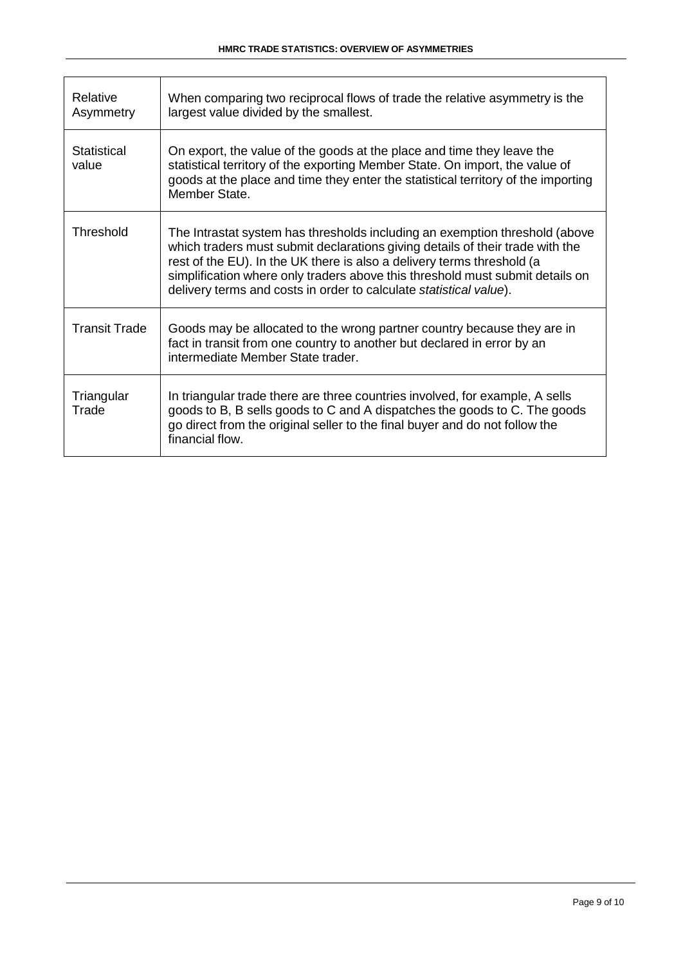| Relative<br>Asymmetry | When comparing two reciprocal flows of trade the relative asymmetry is the<br>largest value divided by the smallest.                                                                                                                                                                                                                                                                          |
|-----------------------|-----------------------------------------------------------------------------------------------------------------------------------------------------------------------------------------------------------------------------------------------------------------------------------------------------------------------------------------------------------------------------------------------|
| Statistical<br>value  | On export, the value of the goods at the place and time they leave the<br>statistical territory of the exporting Member State. On import, the value of<br>goods at the place and time they enter the statistical territory of the importing<br>Member State.                                                                                                                                  |
| Threshold             | The Intrastat system has thresholds including an exemption threshold (above<br>which traders must submit declarations giving details of their trade with the<br>rest of the EU). In the UK there is also a delivery terms threshold (a<br>simplification where only traders above this threshold must submit details on<br>delivery terms and costs in order to calculate statistical value). |
| <b>Transit Trade</b>  | Goods may be allocated to the wrong partner country because they are in<br>fact in transit from one country to another but declared in error by an<br>intermediate Member State trader.                                                                                                                                                                                                       |
| Triangular<br>Trade   | In triangular trade there are three countries involved, for example, A sells<br>goods to B, B sells goods to C and A dispatches the goods to C. The goods<br>go direct from the original seller to the final buyer and do not follow the<br>financial flow.                                                                                                                                   |